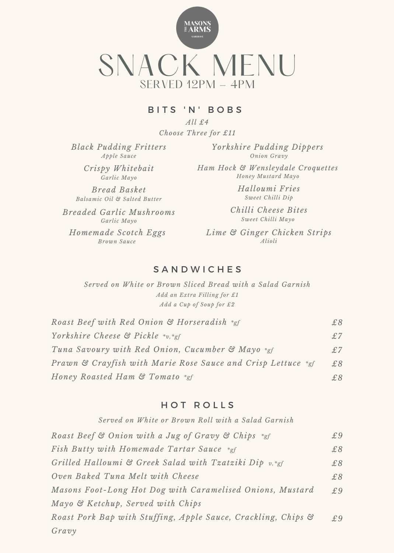

#### BITS 'N' BOBS

*All £4 Choose Three for £11*

*Black Pudding Fritters Apple Sauce*

> *Crispy Whitebait Garlic Mayo*

*Bread Basket Balsamic Oil & Salted Butter*

*Breaded Garlic Mushrooms Garlic Mayo Brown Sauce*

*Yorkshire Pudding Dippers Onion Gravy*

*Ham Hock & Wensleydale Croquettes Honey Mustard Mayo*

> *Halloumi Fries Sweet Chilli Dip*

*Chilli Cheese Bites Sweet Chilli Mayo*

*Homemade Scotch Eggs Lime & Ginger Chicken Strips Alioli*

### S A N D W I C H E S

*Served on White or Brown Sliced Bread with a Salad Garnish Add an Extra Filling for £1 Add a Cup of Soup for £2*

| Roast Beef with Red Onion & Horseradish *gf                  | £8 |
|--------------------------------------------------------------|----|
| Yorkshire Cheese $\mathfrak{S}$ Pickle *v, *gf               | £7 |
| Tuna Savoury with Red Onion, Cucumber & Mayo *gf             | £7 |
| Prawn & Crayfish with Marie Rose Sauce and Crisp Lettuce *gf | £8 |
| Honey Roasted Ham & Tomato *gf                               | £8 |

#### HOT ROLLS

*Served on White or Brown Roll with a Salad Garnish*

| Roast Beef & Onion with a Jug of Gravy & Chips *gf            | £9 |
|---------------------------------------------------------------|----|
| Fish Butty with Homemade Tartar Sauce *gf                     | £8 |
| Grilled Halloumi & Greek Salad with Tzatziki Dip v,*gf        | £8 |
| Oven Baked Tuna Melt with Cheese                              | £8 |
| Masons Foot-Long Hot Dog with Caramelised Onions, Mustard     | £9 |
| Mayo & Ketchup, Served with Chips                             |    |
| Roast Pork Bap with Stuffing, Apple Sauce, Crackling, Chips & | £9 |
| Gravy                                                         |    |
|                                                               |    |